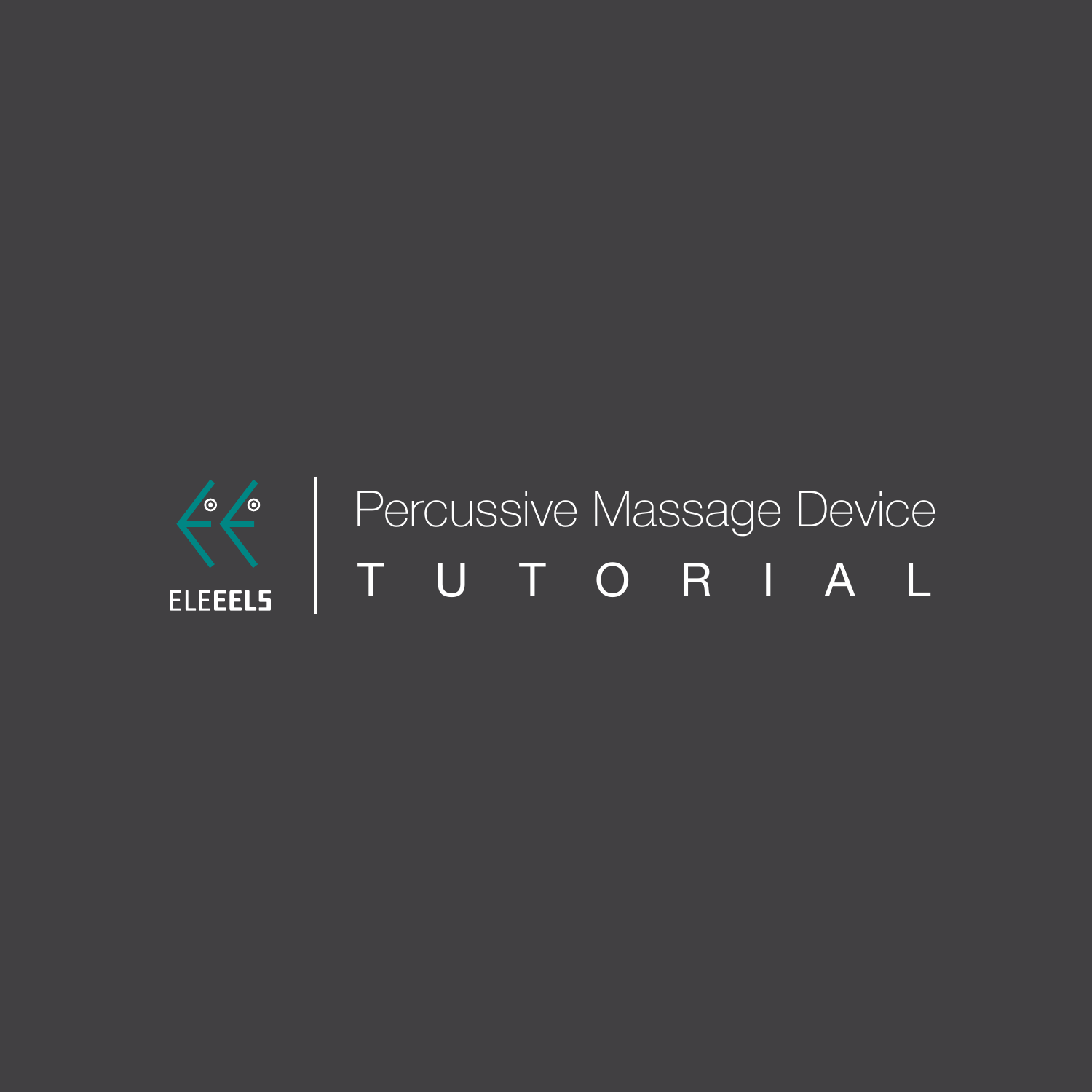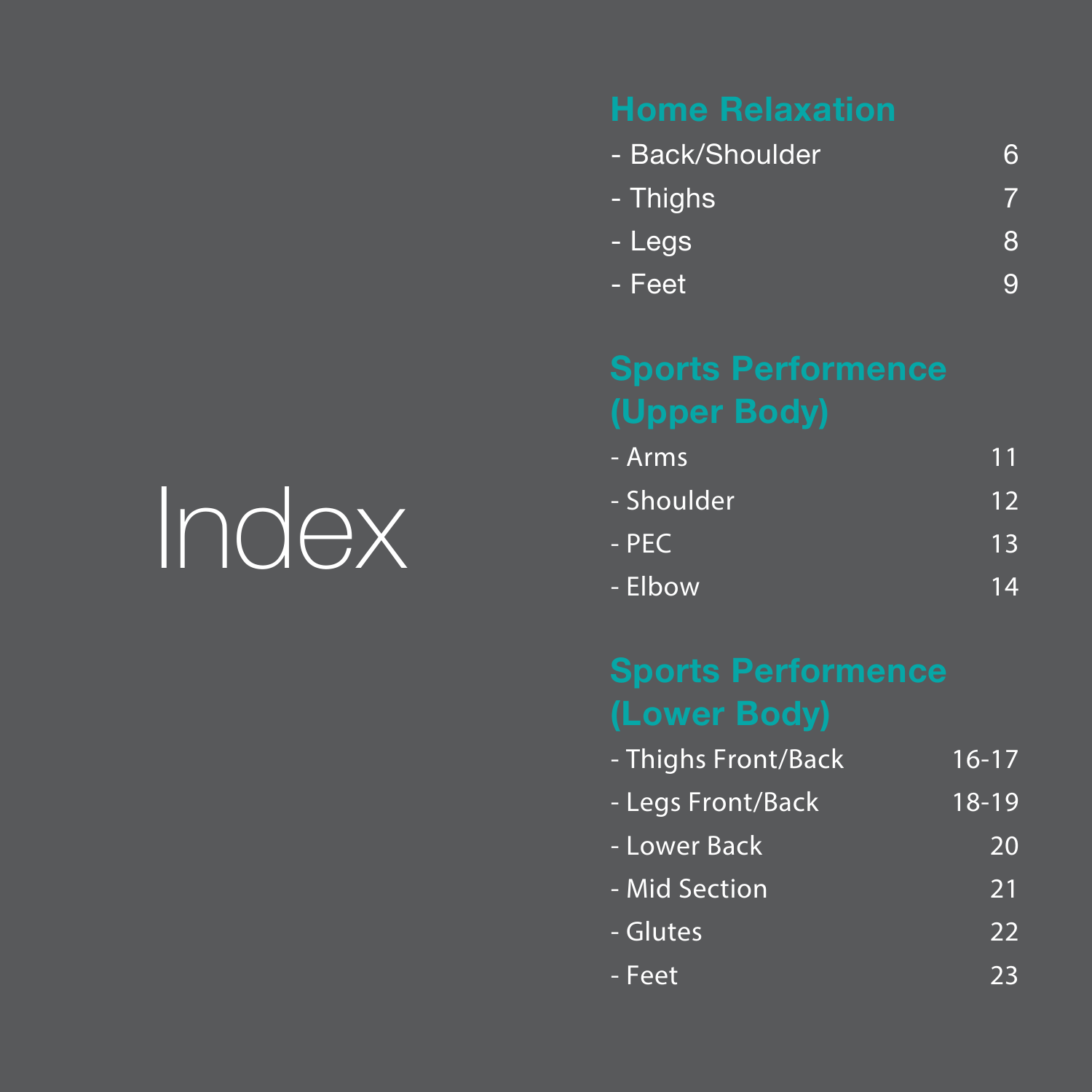| - Back/Shoulder |   |
|-----------------|---|
| - Thighs        |   |
| - Legs          | 8 |
| - Feet          | O |

| - Arms     | 11 |
|------------|----|
| - Shoulder | 12 |
| - PEC      | 13 |
| - Elbow    |    |

| - Thighs Front/Back | $16 - 17$ |
|---------------------|-----------|
| - Legs Front/Back   | $18 - 19$ |
| - Lower Back        | 20        |
| - Mid Section       | 21        |
| - Glutes            | 22        |
| - Feet              | 23        |

# Index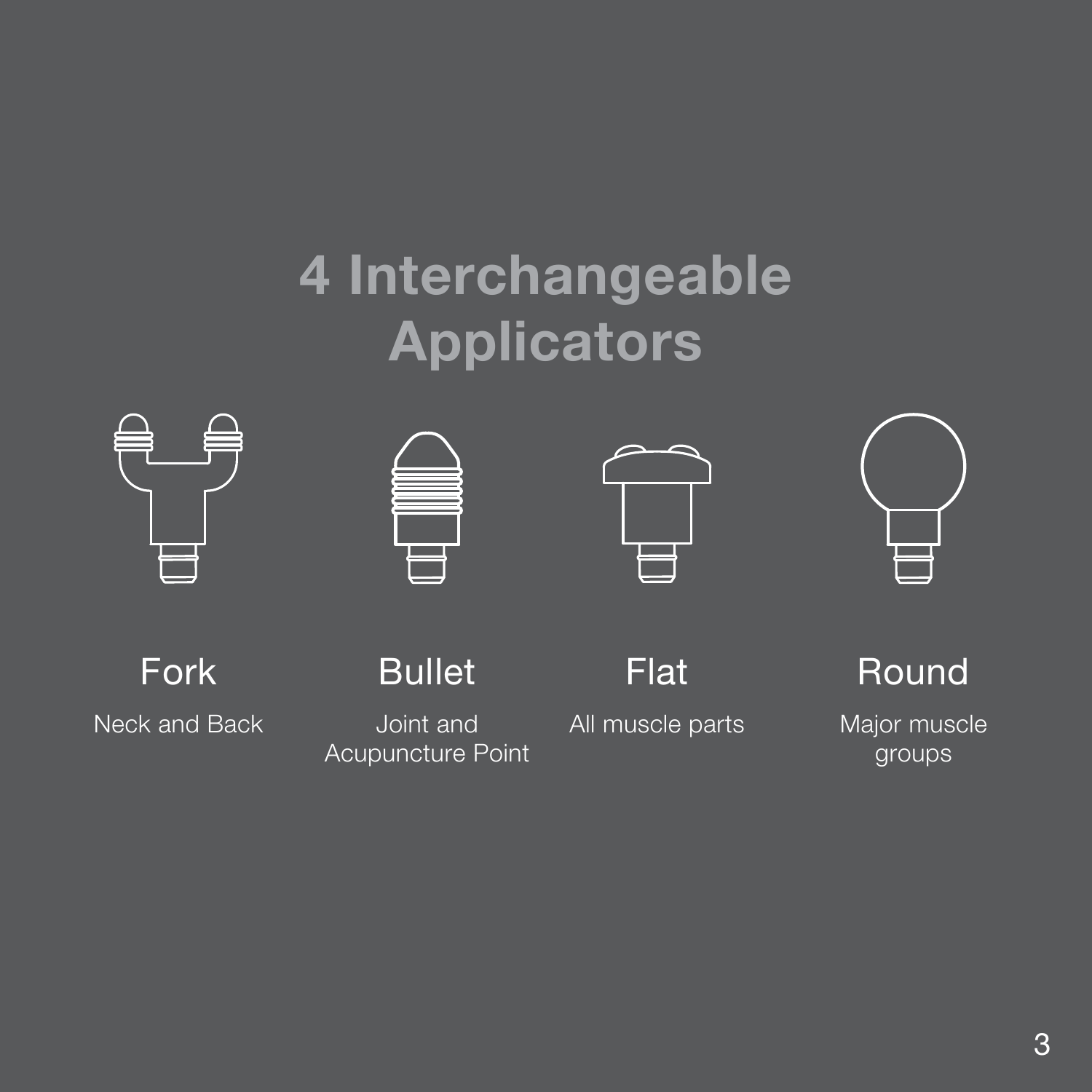## **4 Interchangeable Applicators**









Fork Neck and Back

**Bullet** Joint and

Acupuncture Point

Flat

All muscle parts

Round Major muscle groups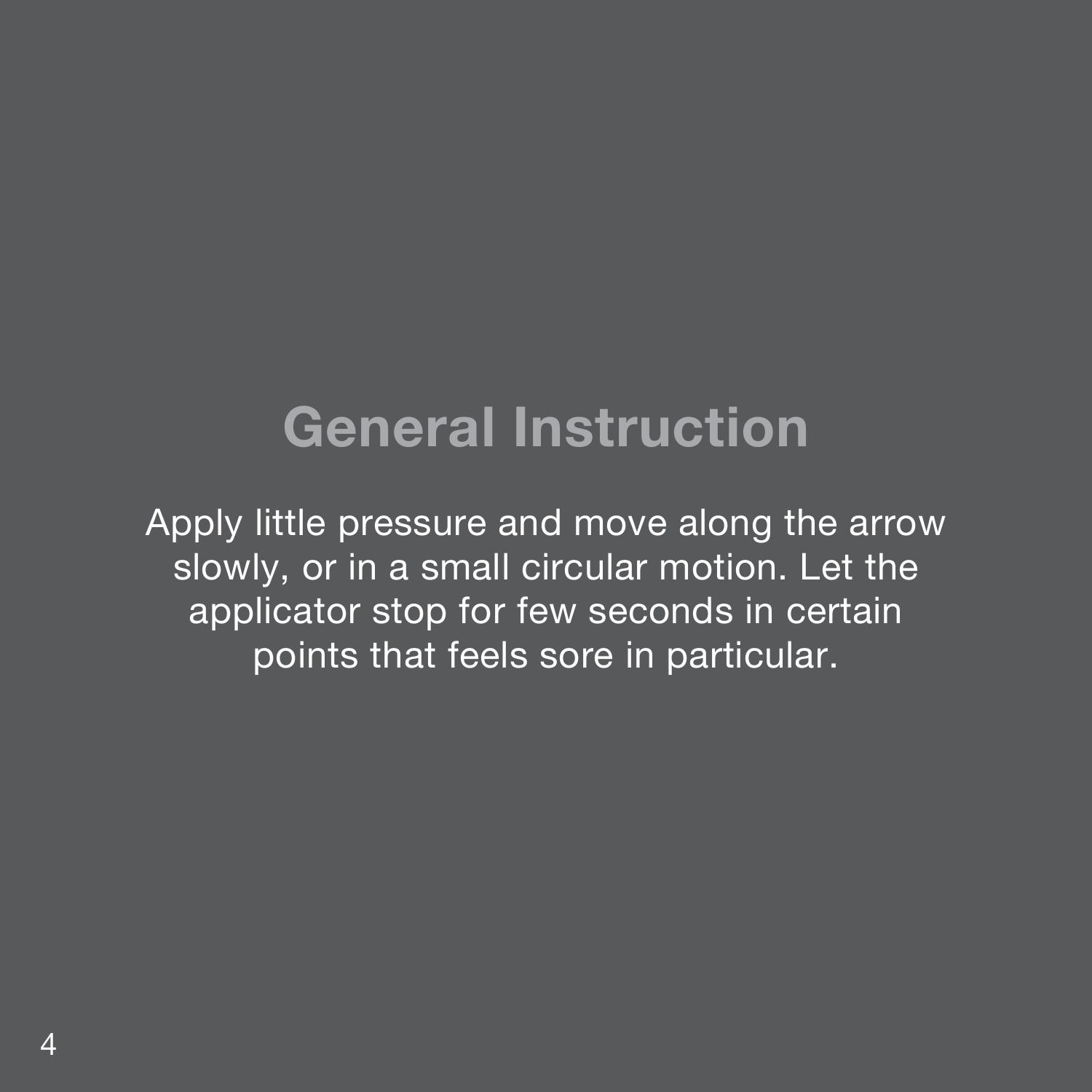### **General Instruction**

Apply little pressure and move along the arrow slowly, or in a small circular motion. Let the applicator stop for few seconds in certain points that feels sore in particular.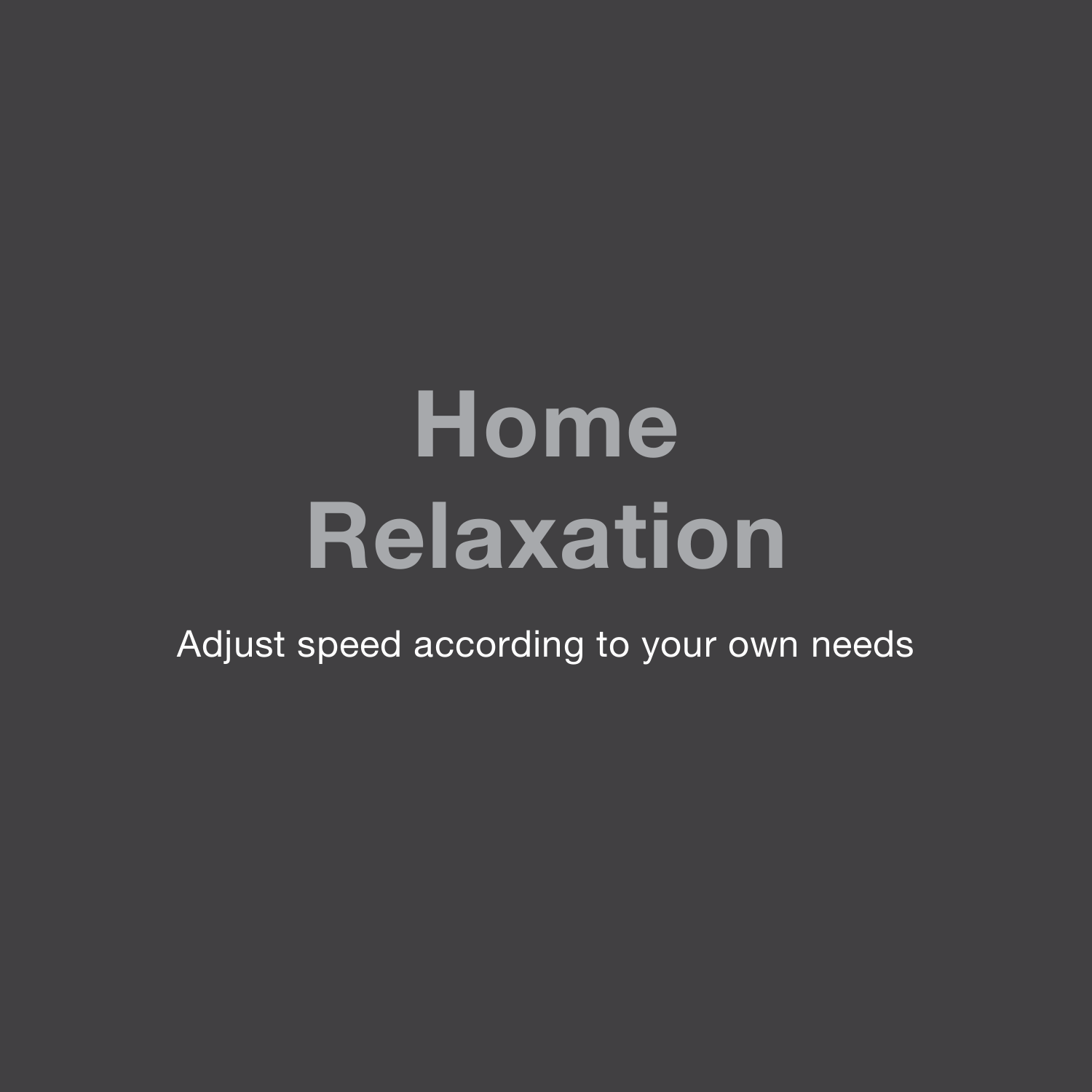## **Home Relaxation**

Adjust speed according to your own needs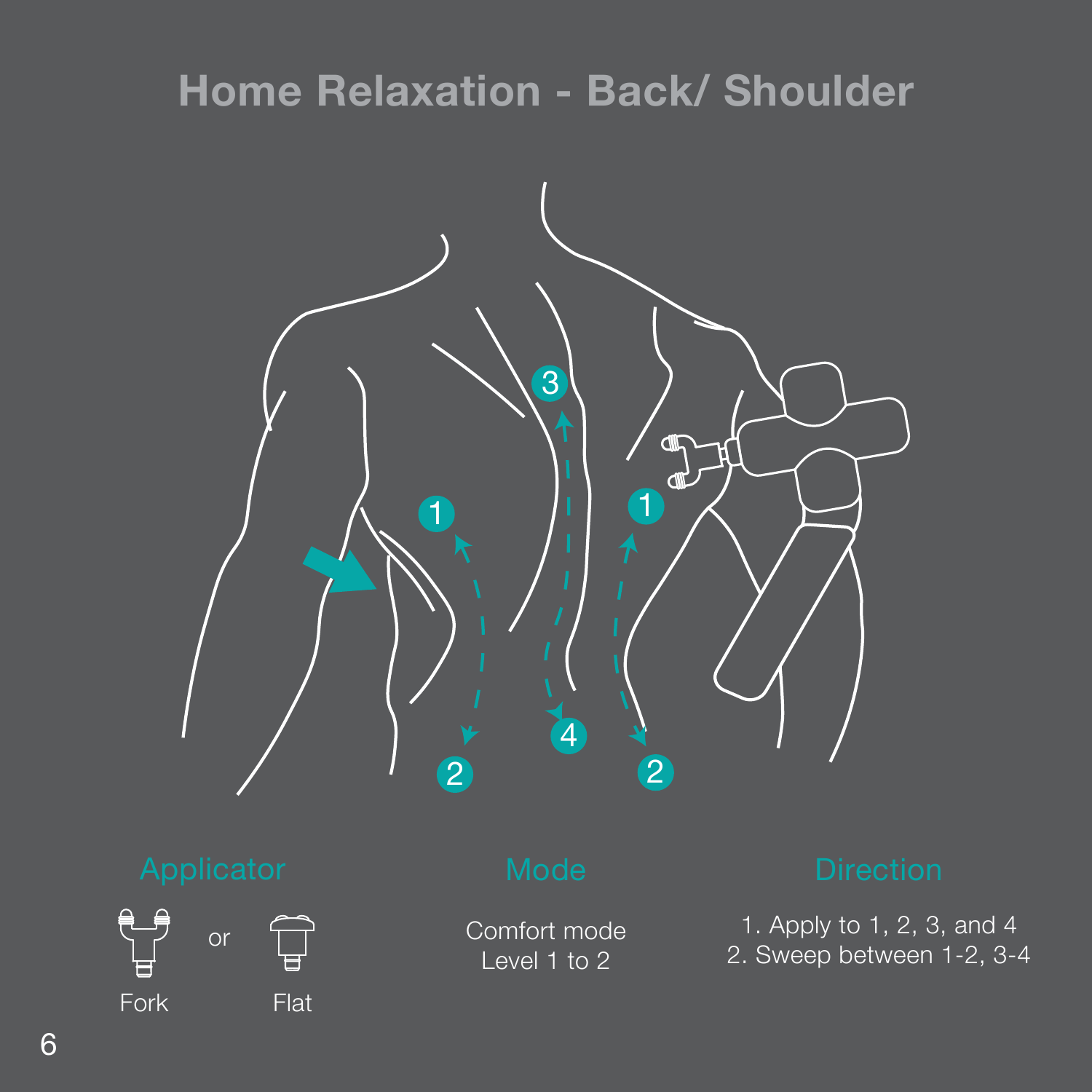### **Home Relaxation - Back/ Shoulder**





Comfort mode Level 1 to 2

1. Apply to 1, 2, 3, and 4 2. Sweep between 1-2, 3-4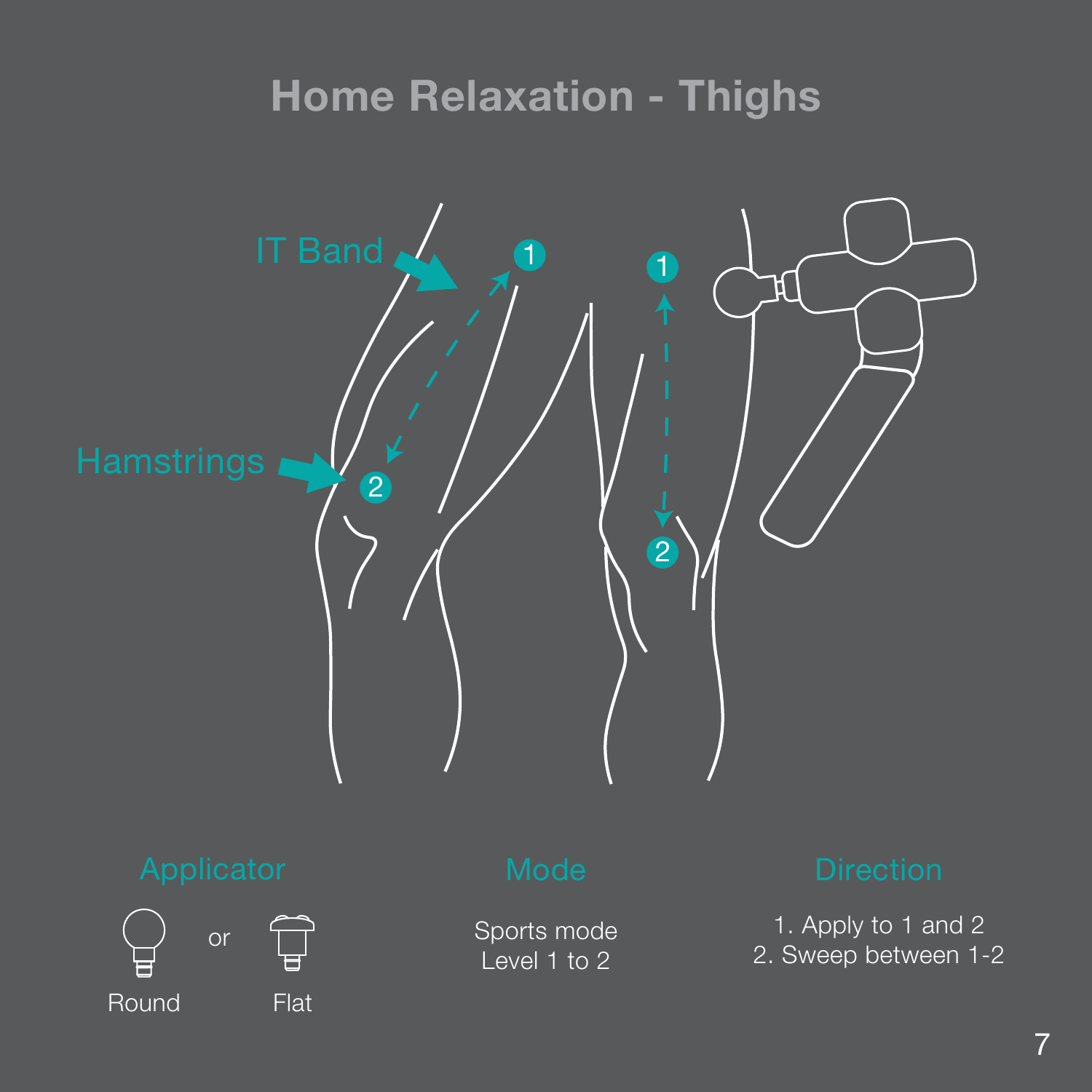### **Home Relaxation - Thighs**





Sports mode Level 1 to 2

1. Apply to 1 and 2 2. Sweep between 1-2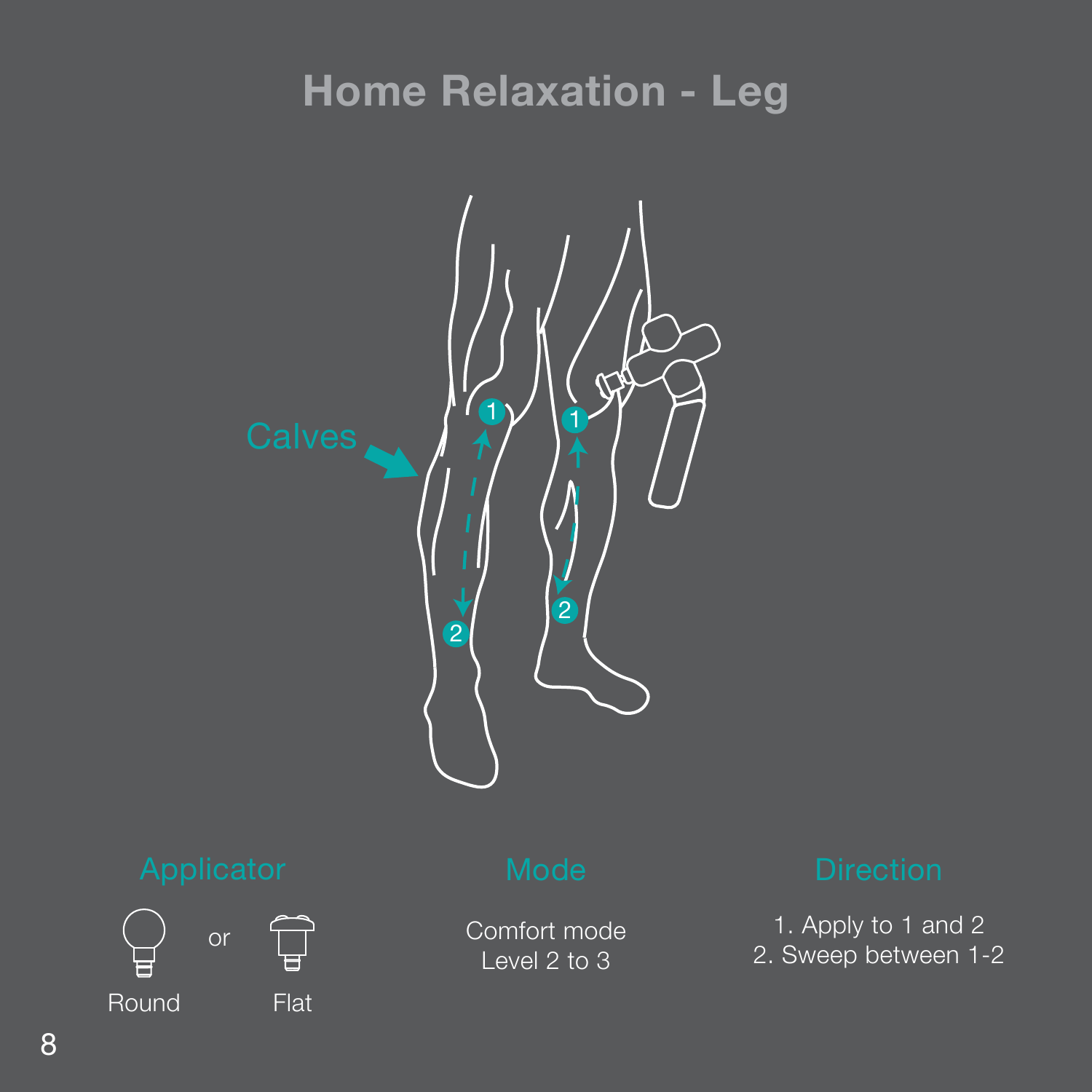### **Home Relaxation - Leg**





Comfort mode Level 2 to 3

1. Apply to 1 and 2 2. Sweep between 1-2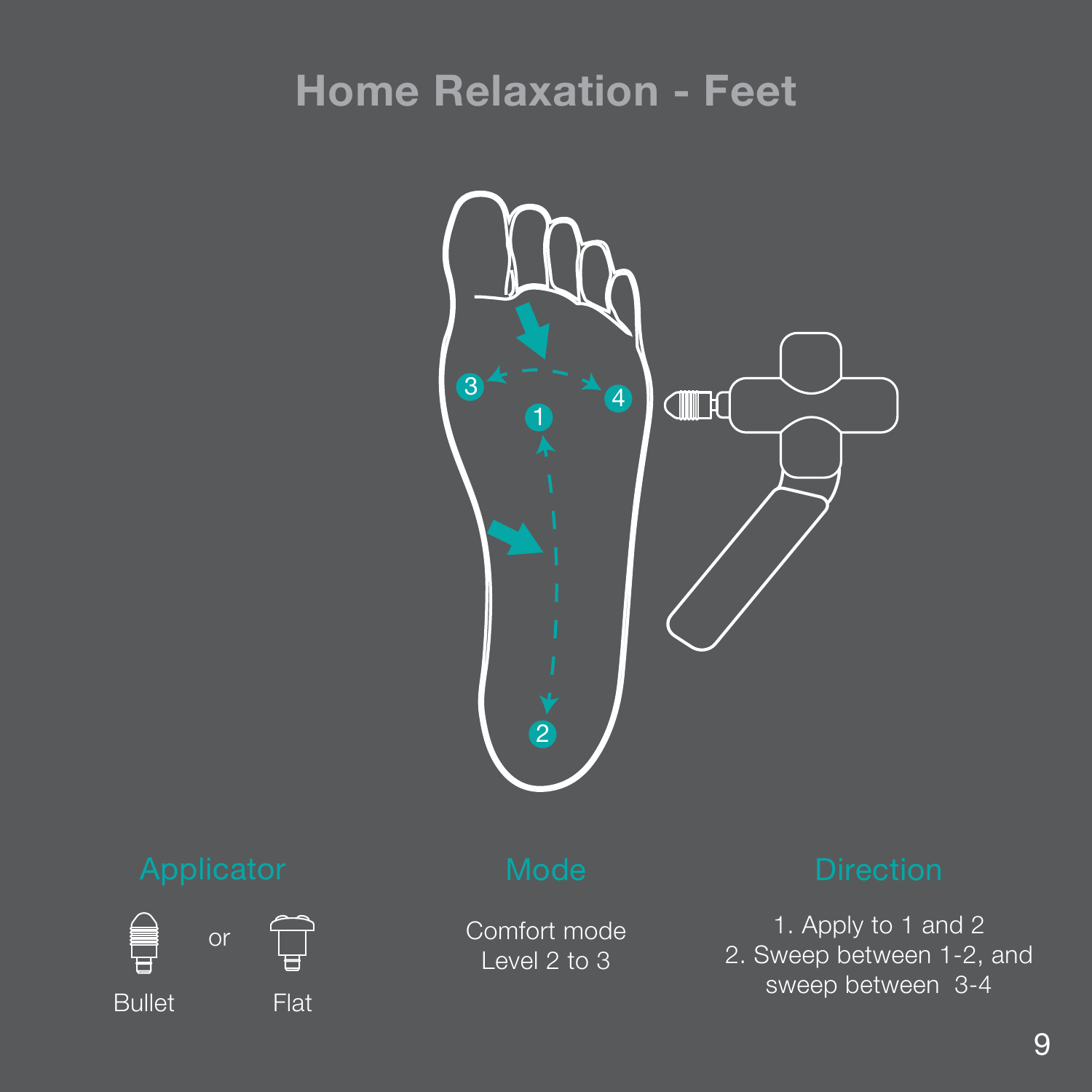### **Home Relaxation - Feet**





Comfort mode Level 2 to 3

1. Apply to 1 and 2 2. Sweep between 1-2, and sweep between 3-4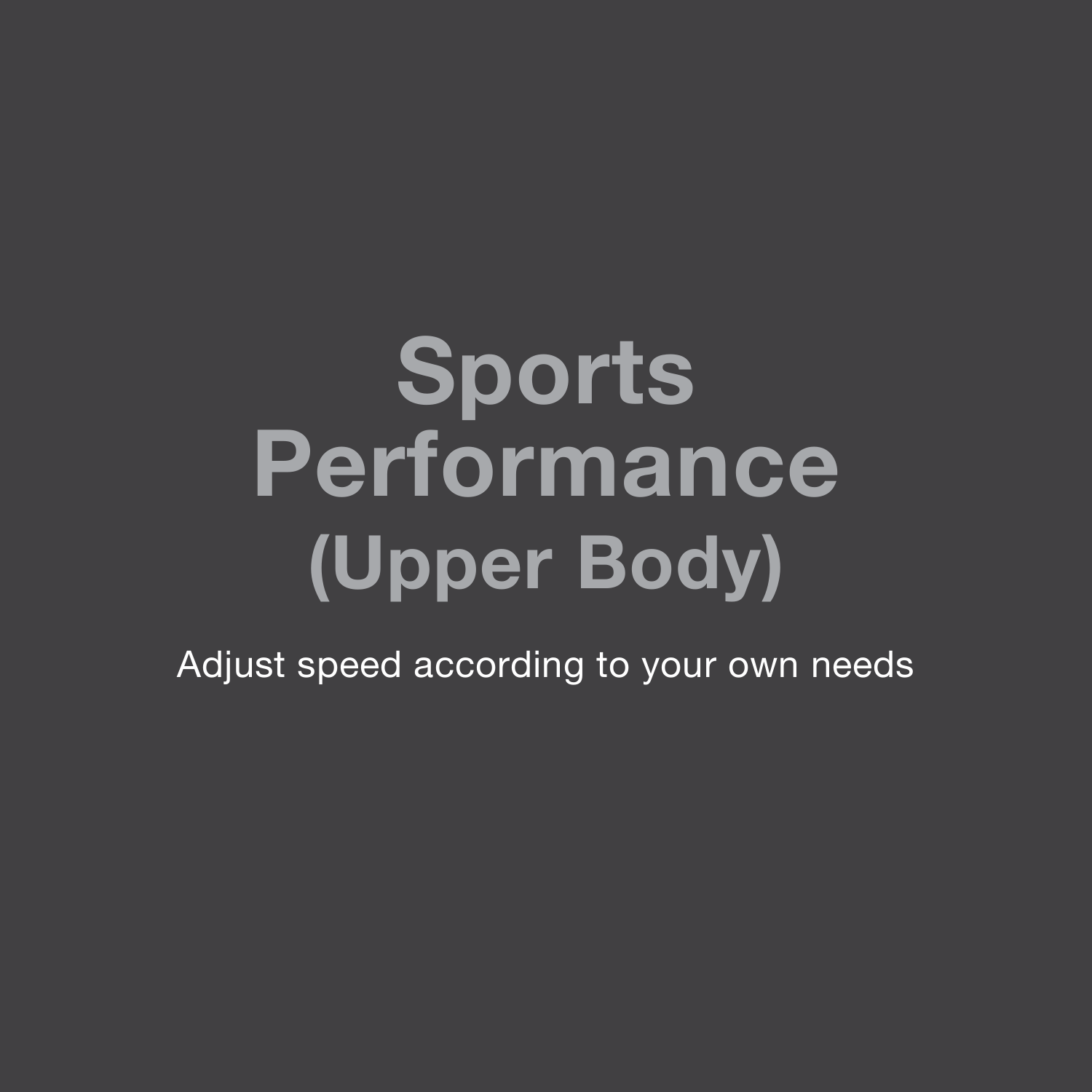## **Sports Performance (Upper Body)**

Adjust speed according to your own needs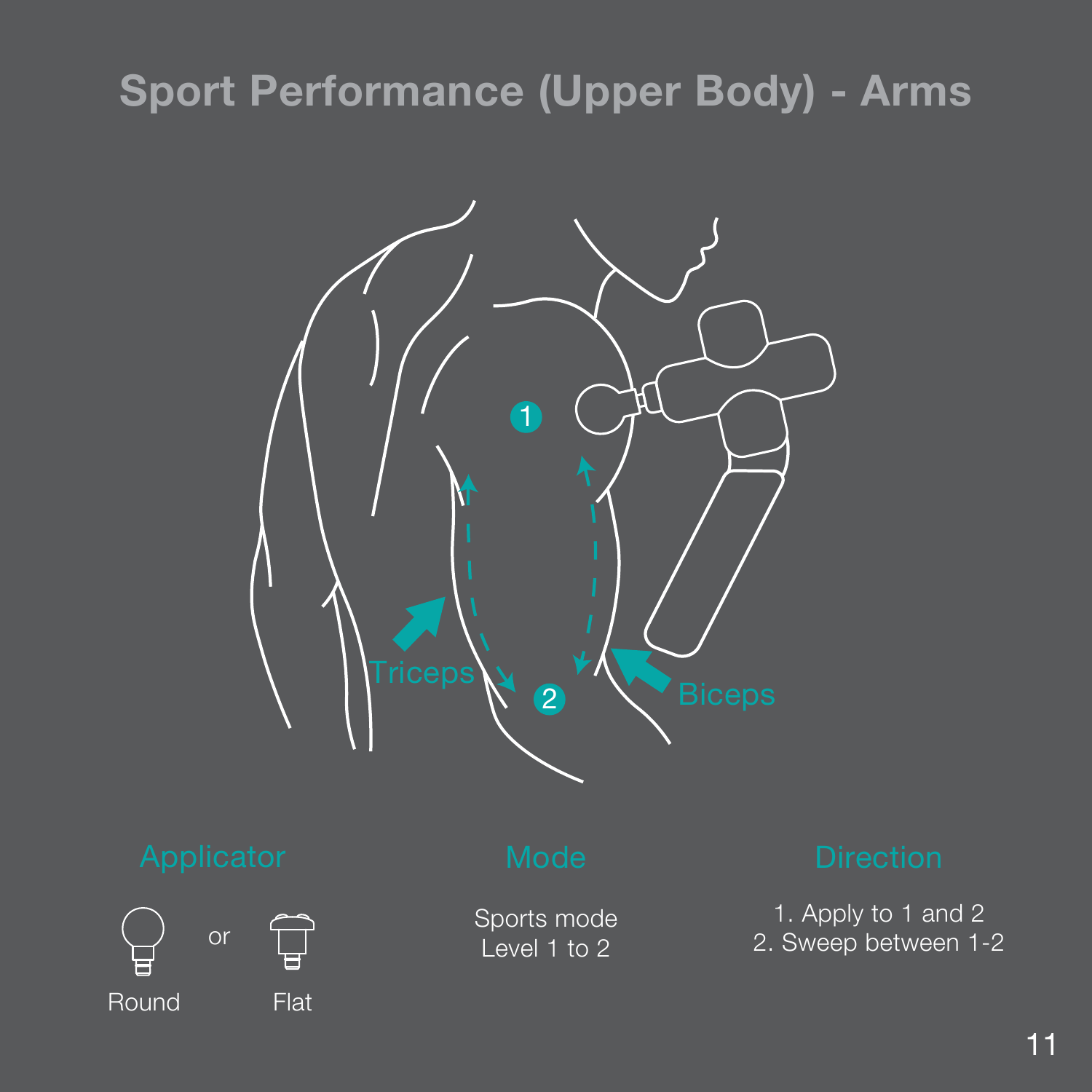### **Sport Performance (Upper Body) - Arms**

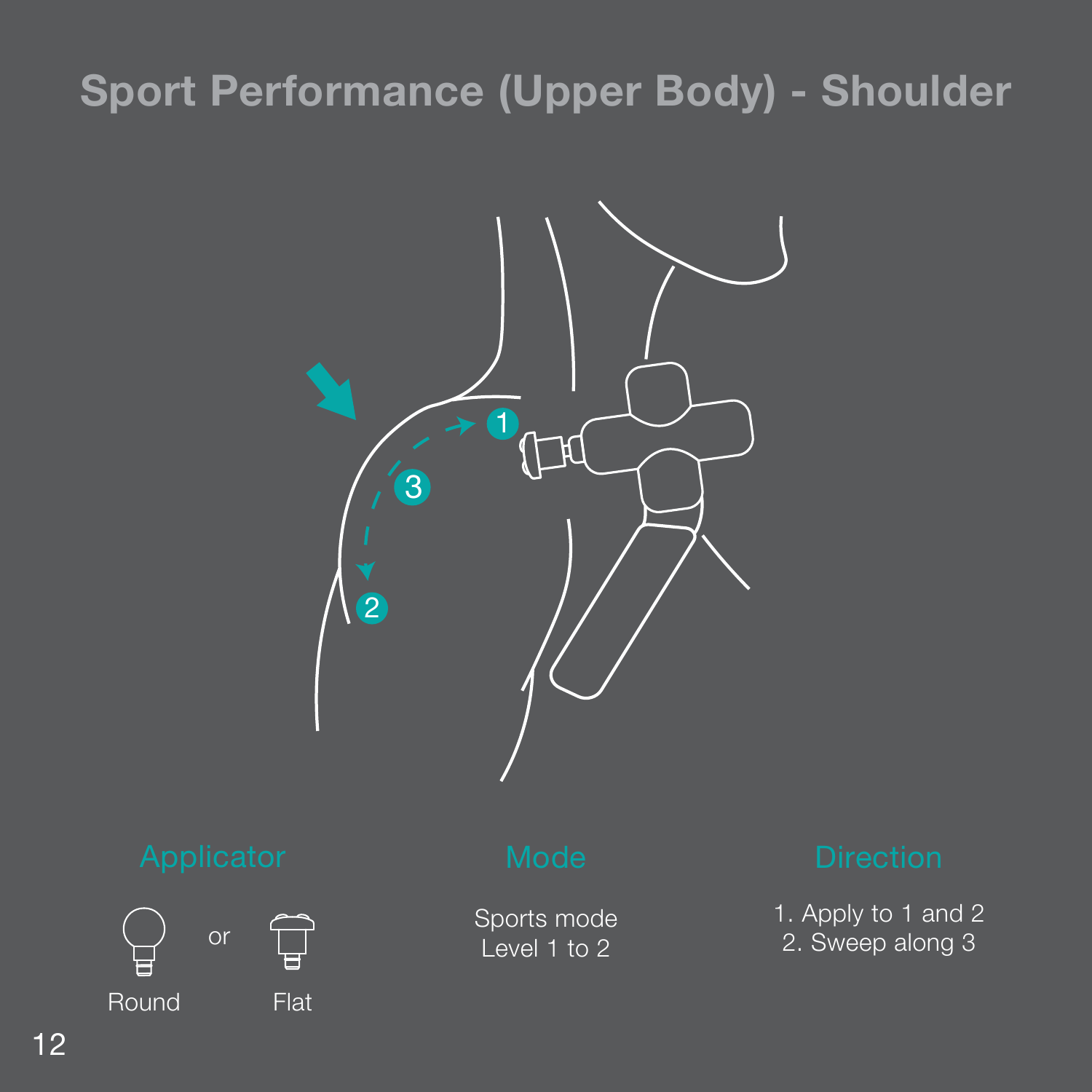### **Sport Performance (Upper Body) - Shoulder**





Sports mode Level 1 to 2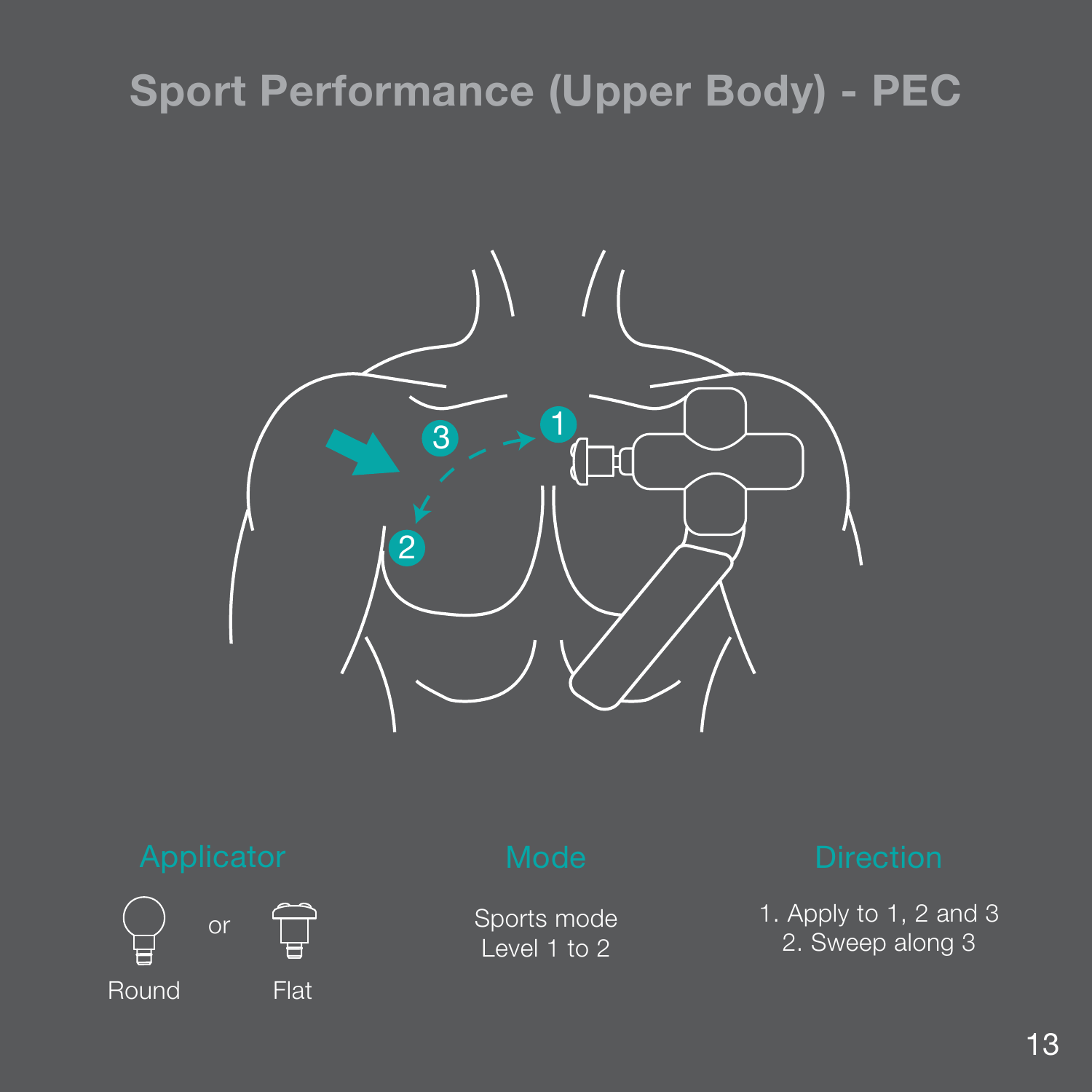### **Sport Performance (Upper Body) - PEC**





Sports mode Level 1 to 2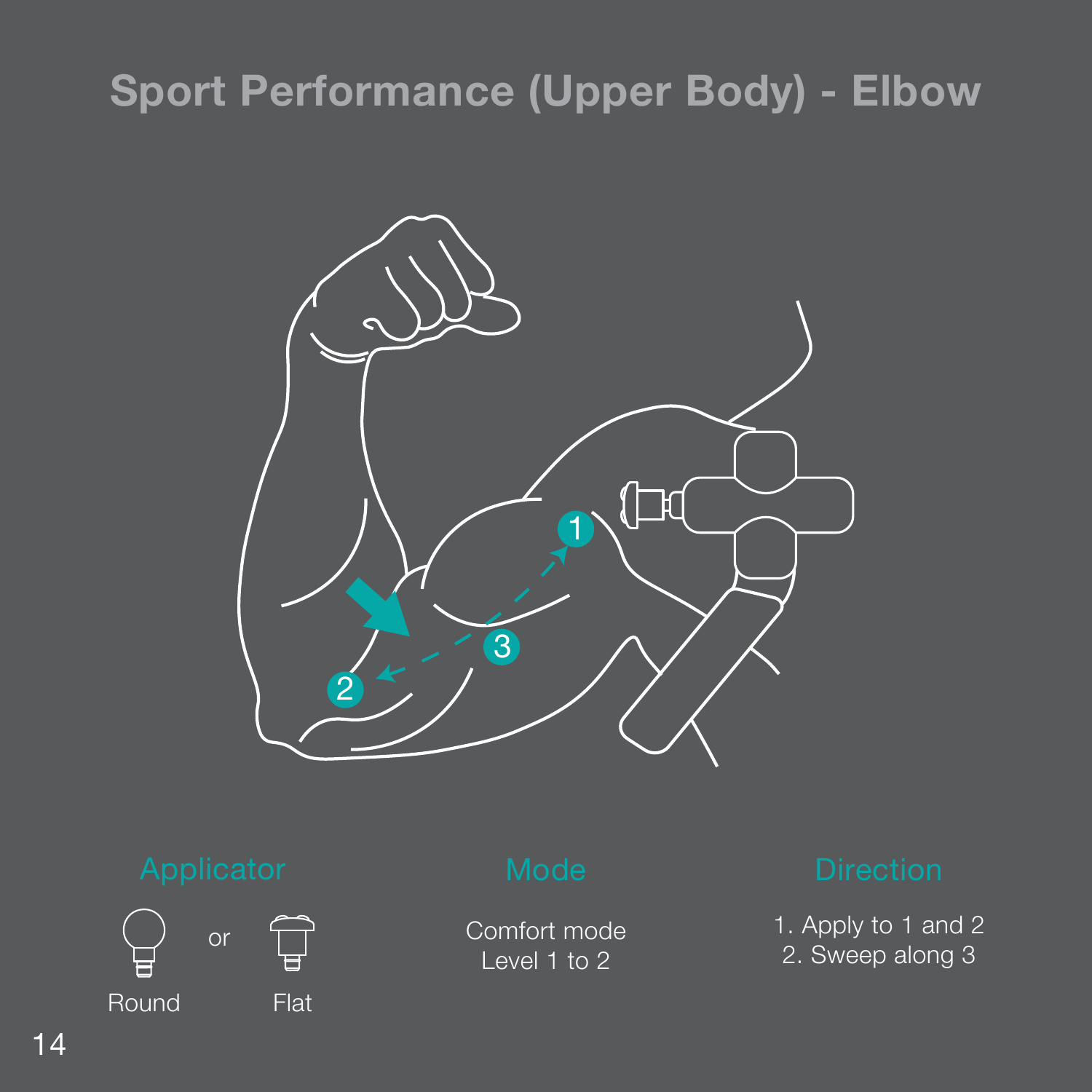### **Sport Performance (Upper Body) - Elbow**





Comfort mode Level 1 to 2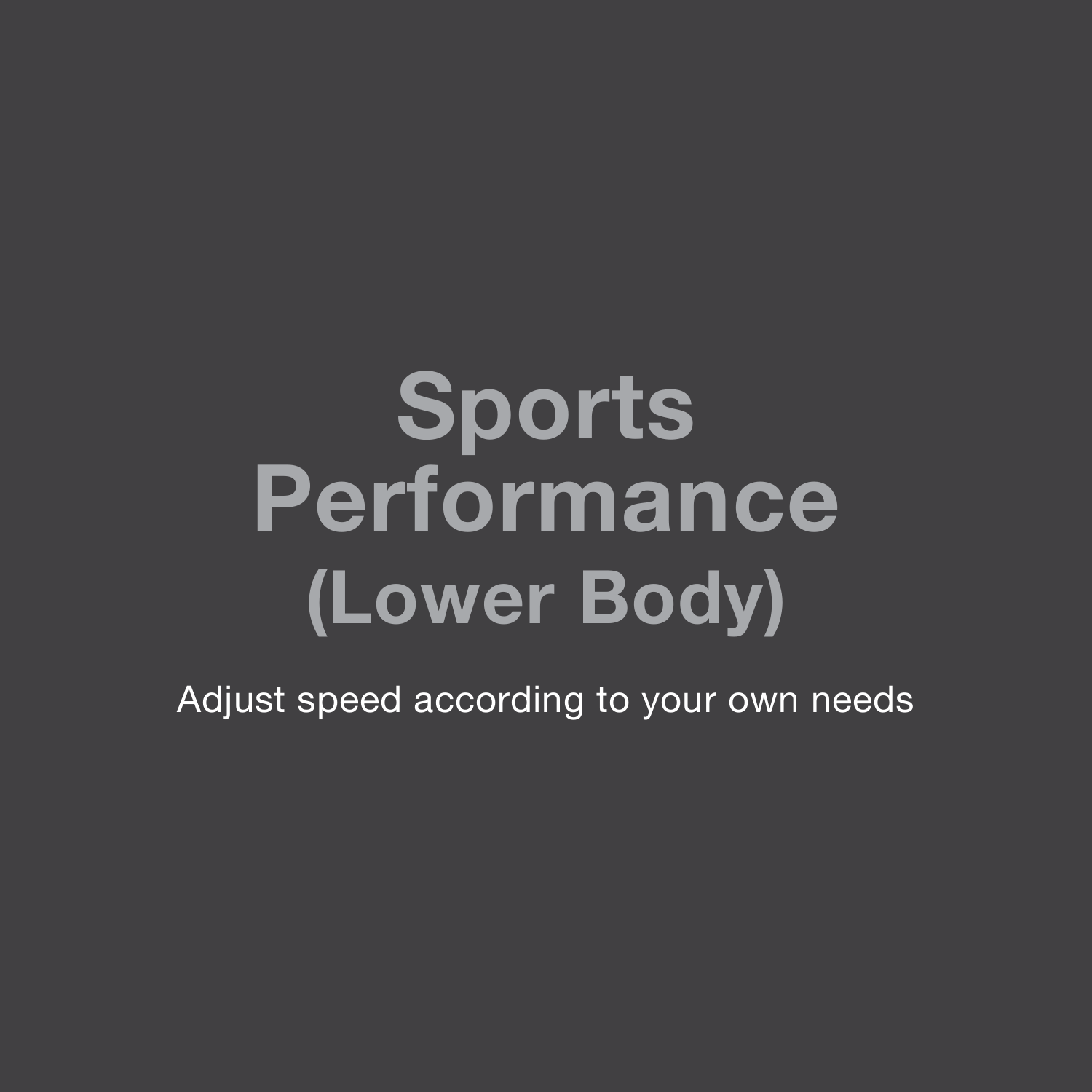## **Sports Performance (Lower Body)**

Adjust speed according to your own needs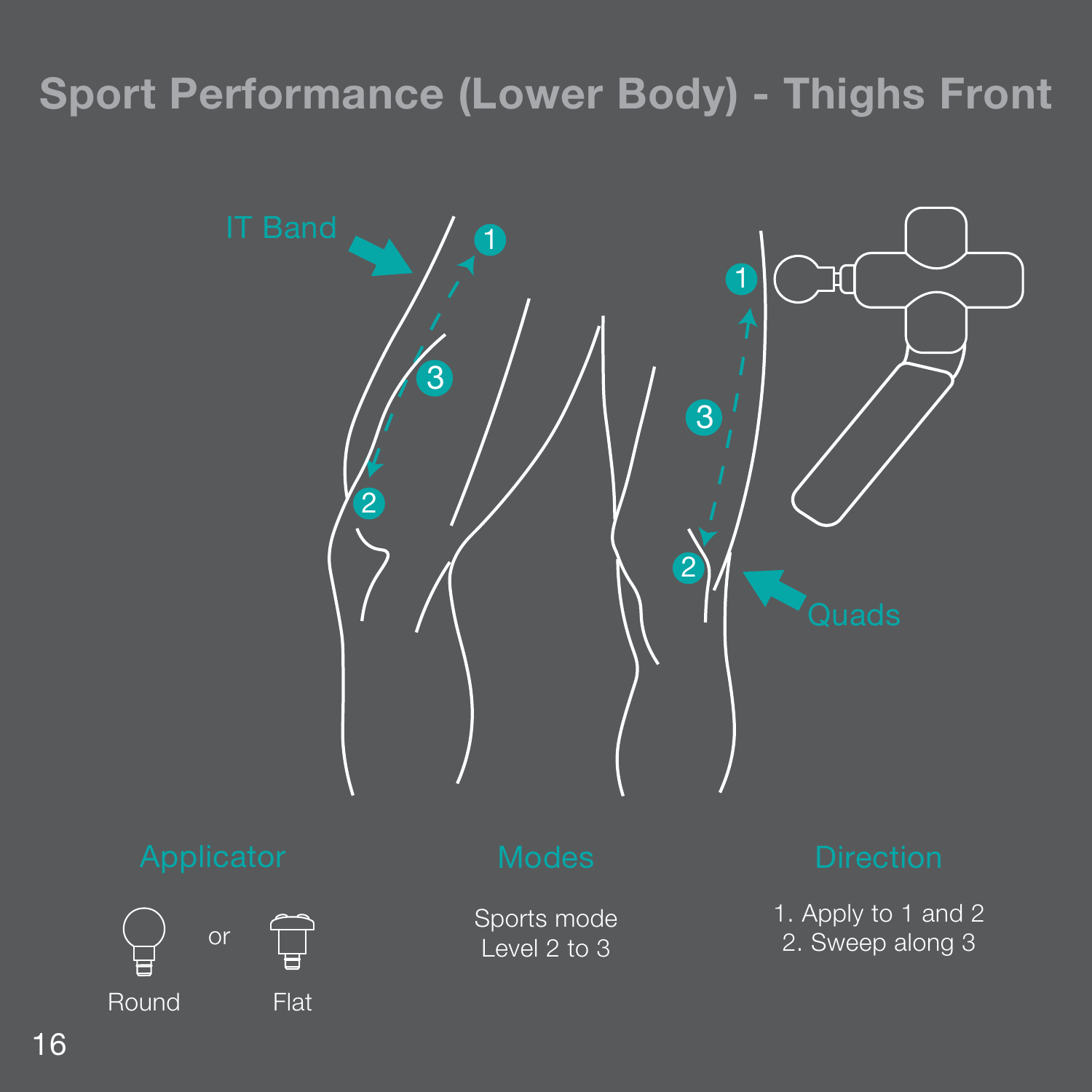### **Sport Performance (Lower Body) - Thighs Front**

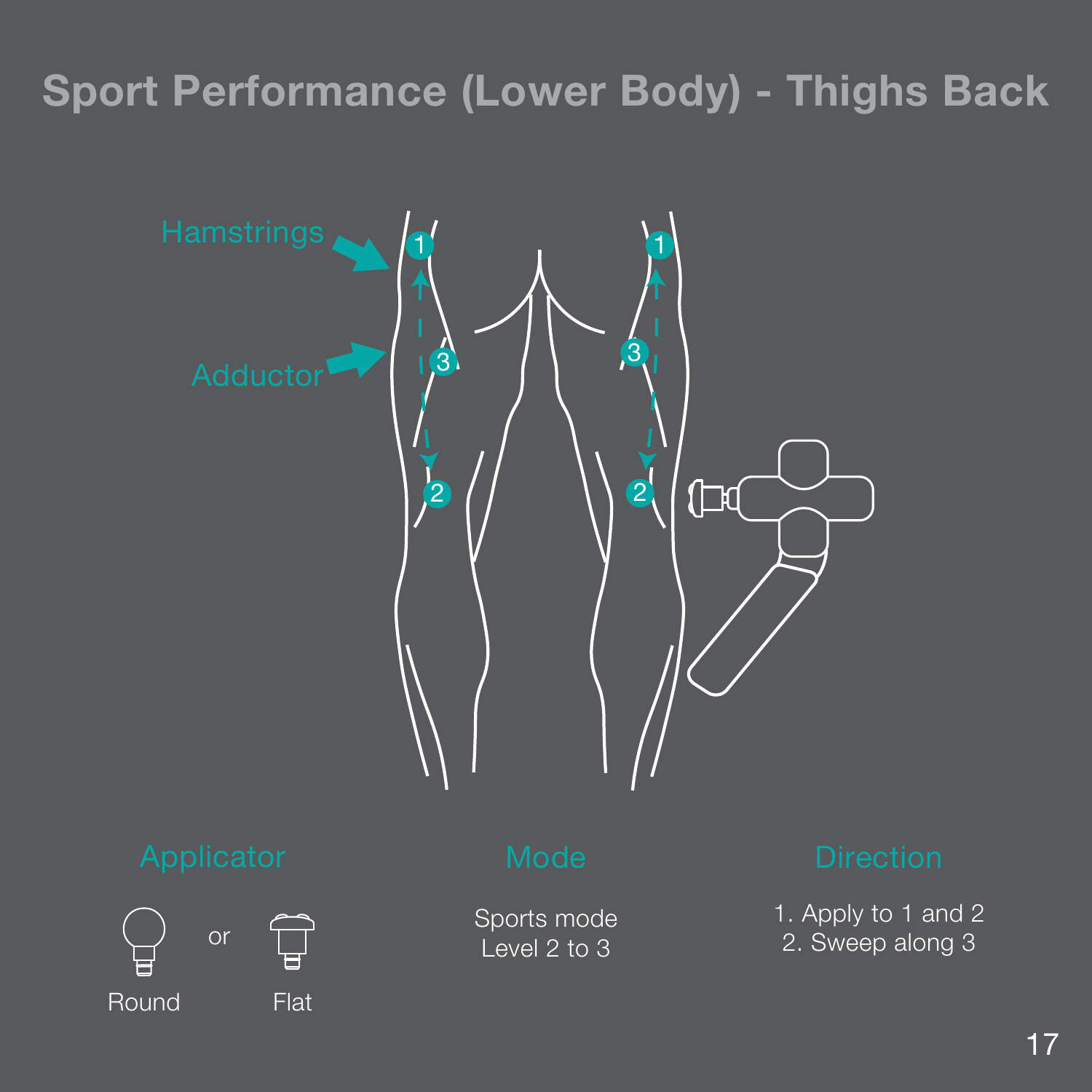### **Sport Performance (Lower Body) - Thighs Back**





Sports mode Level 2 to 3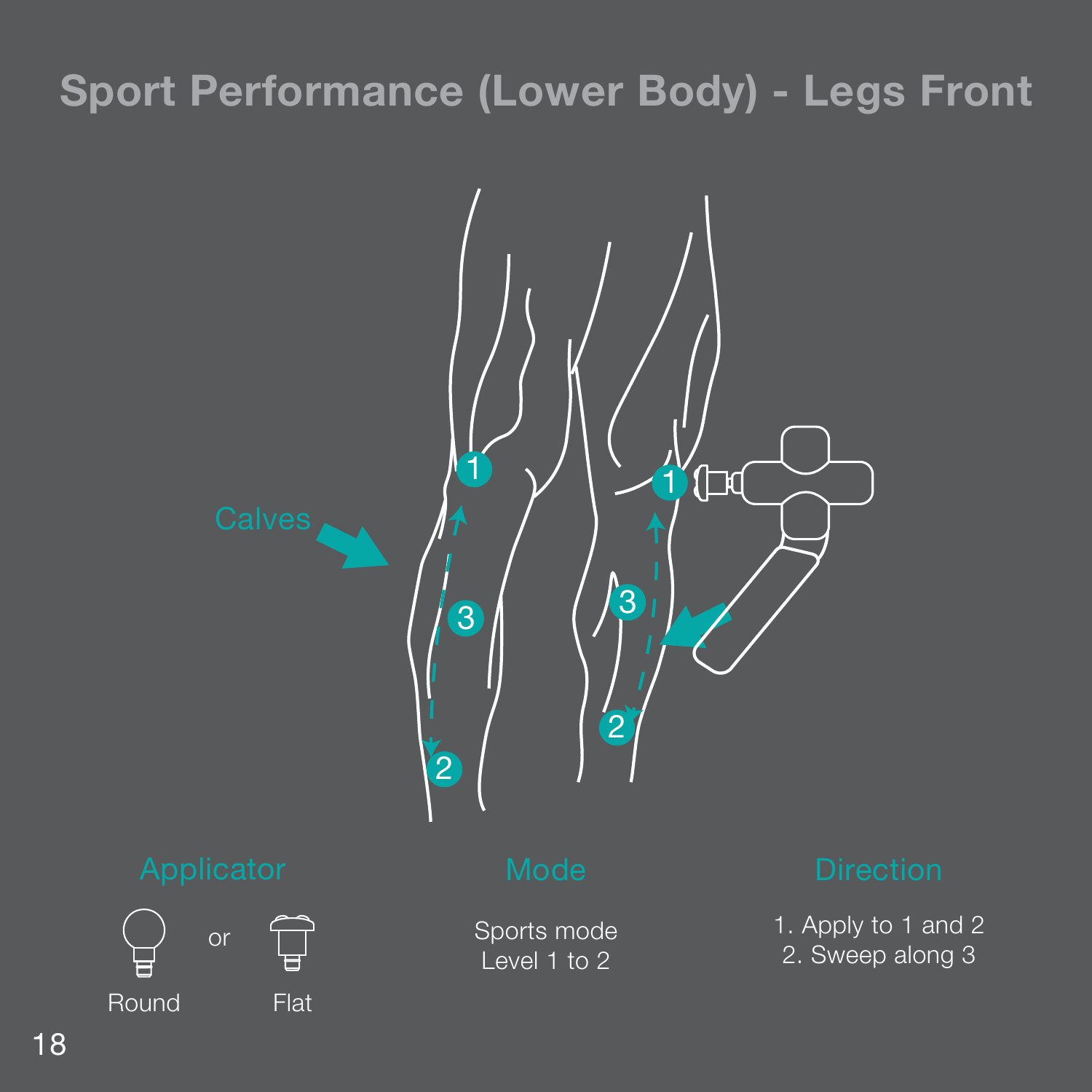### **Sport Performance (Lower Body) - Legs Front**

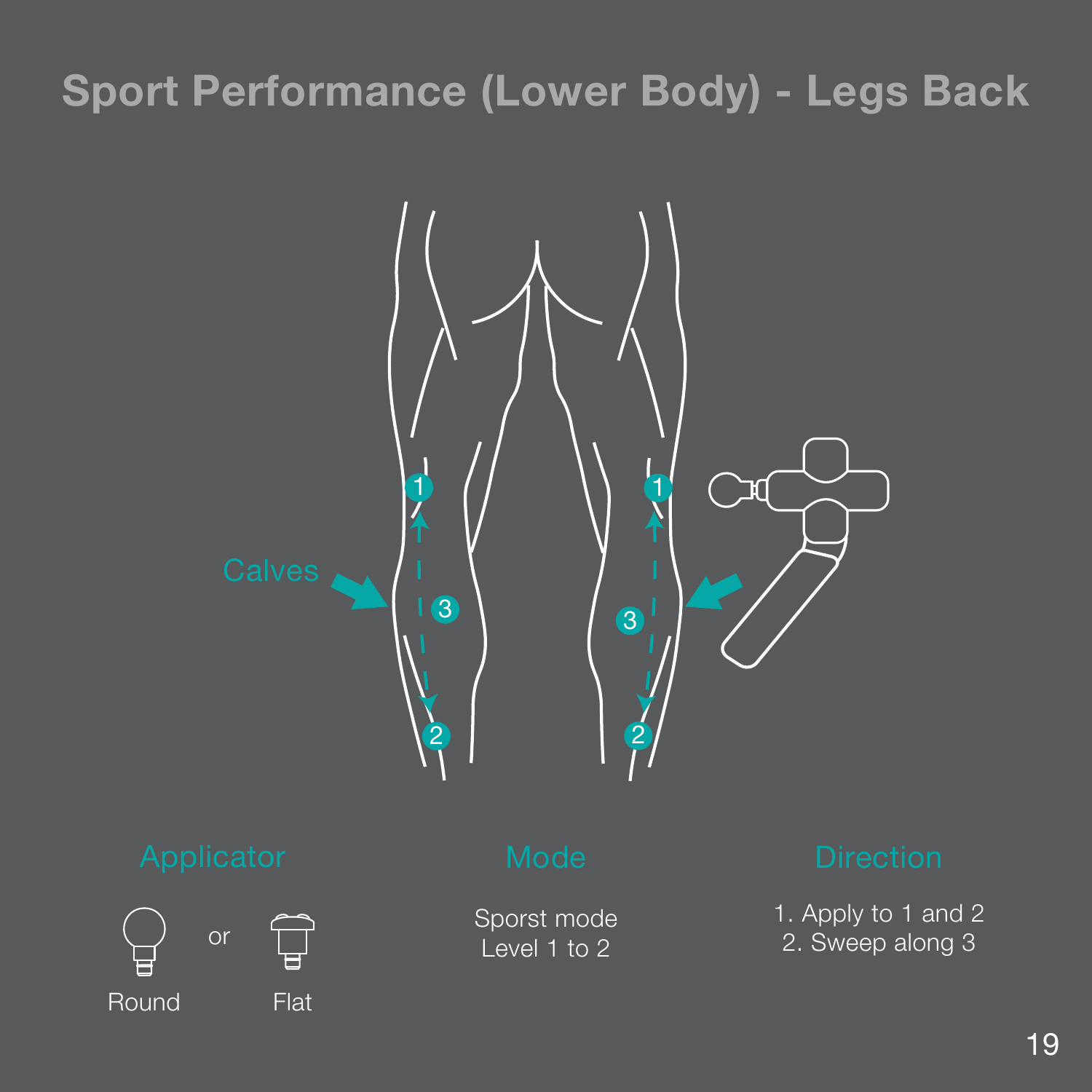### **Sport Performance (Lower Body) - Legs Back**





Sporst mode Level 1 to 2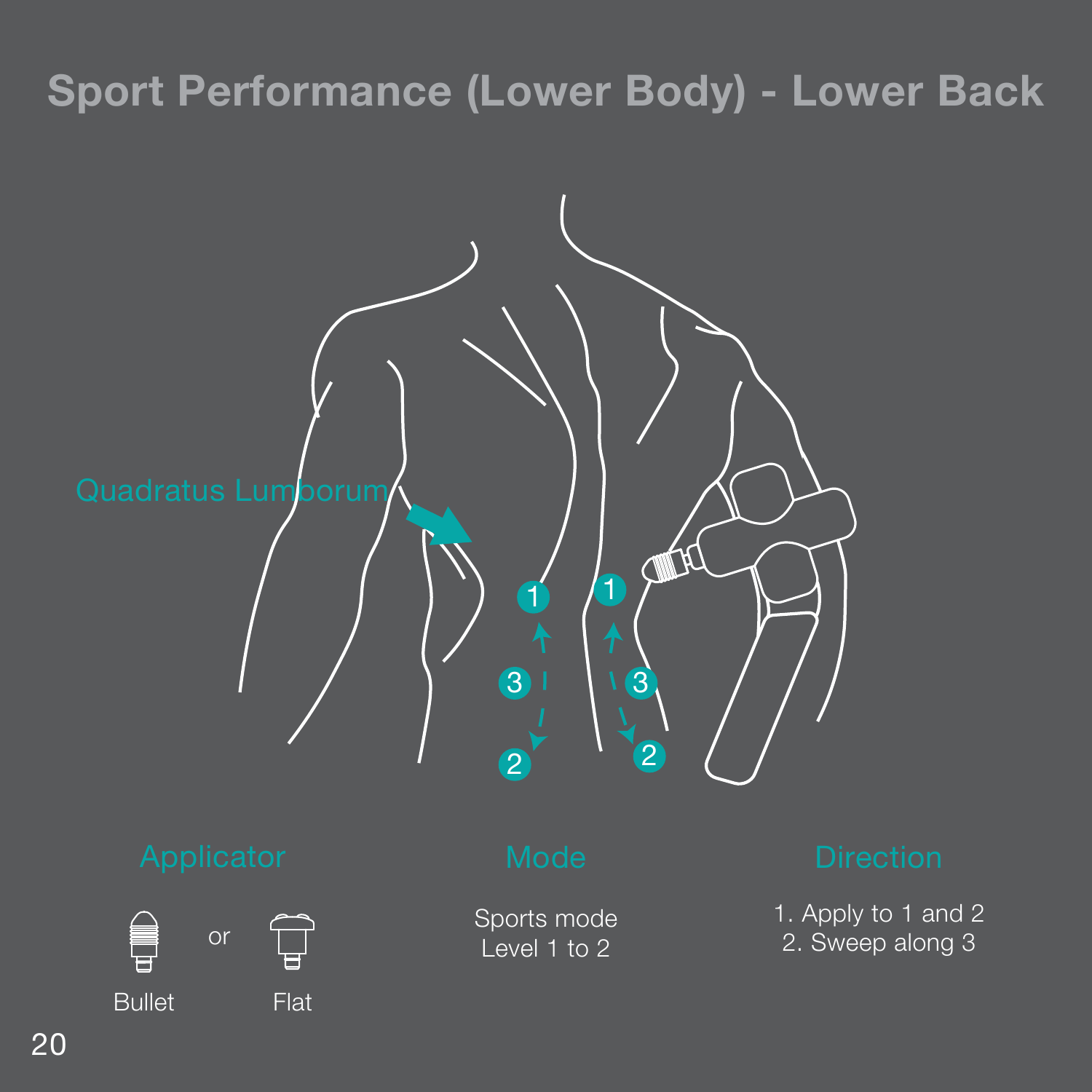### **Sport Performance (Lower Body) - Lower Back**



### 20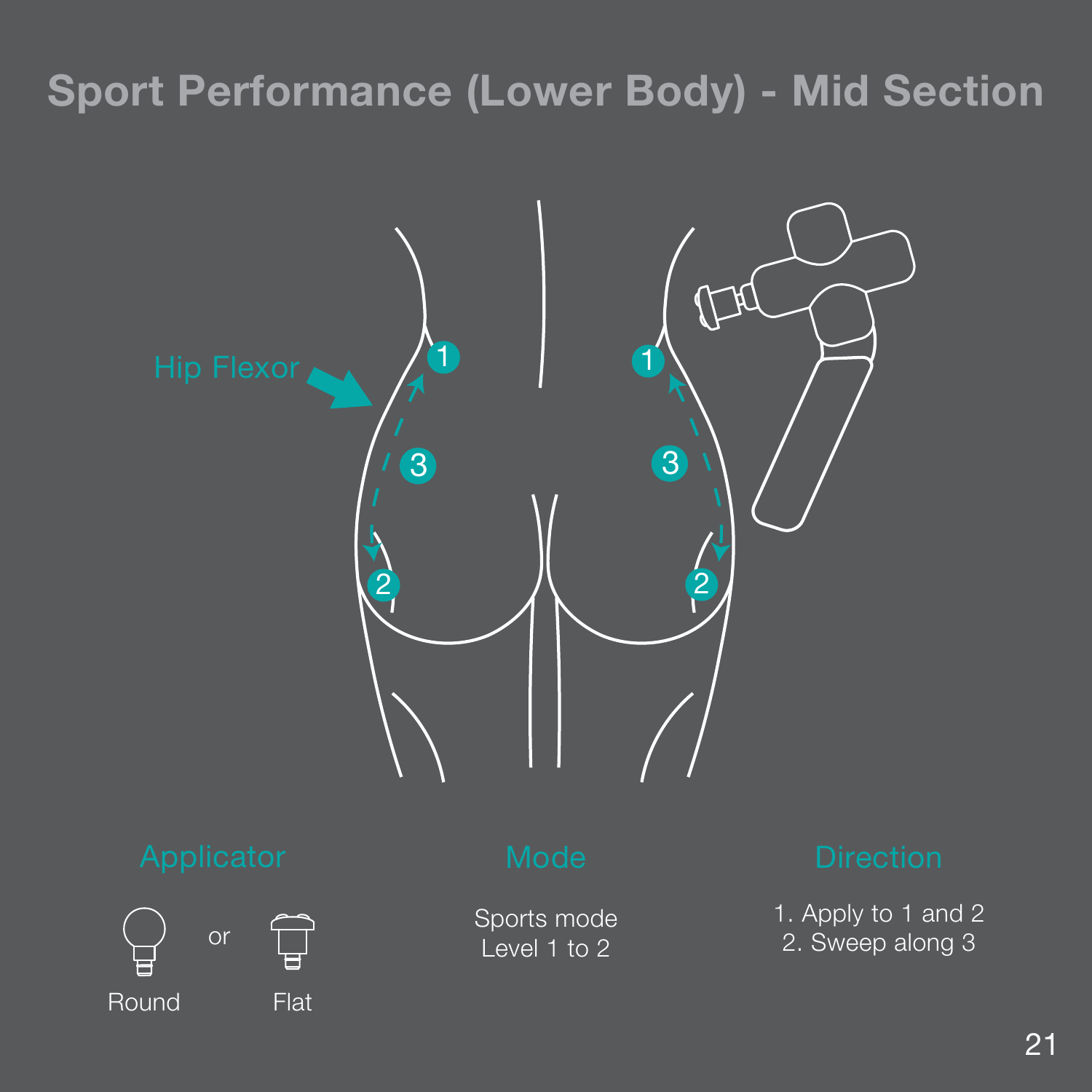### **Sport Performance (Lower Body) - Mid Section**





Sports mode Level 1 to 2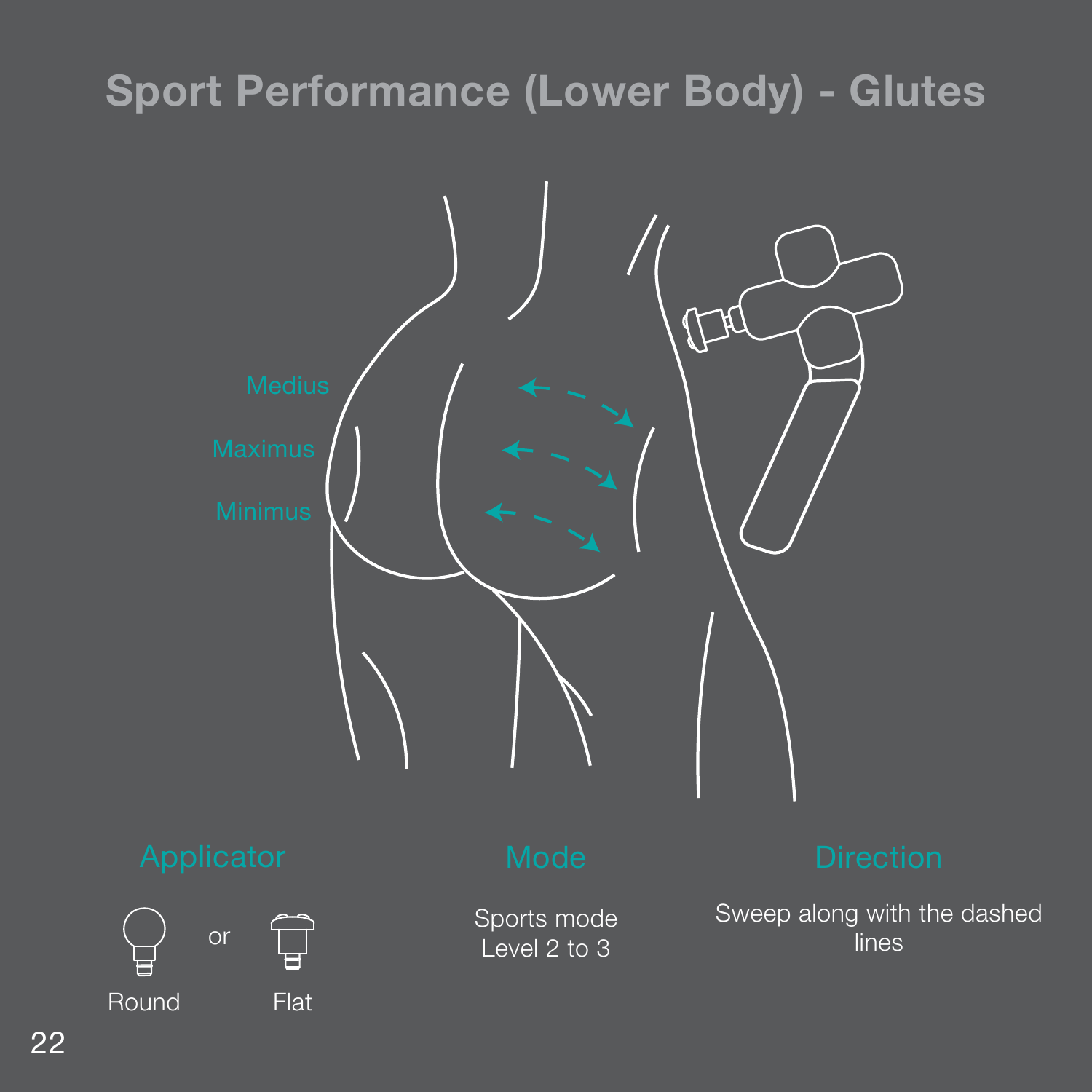### **Sport Performance (Lower Body) - Glutes**

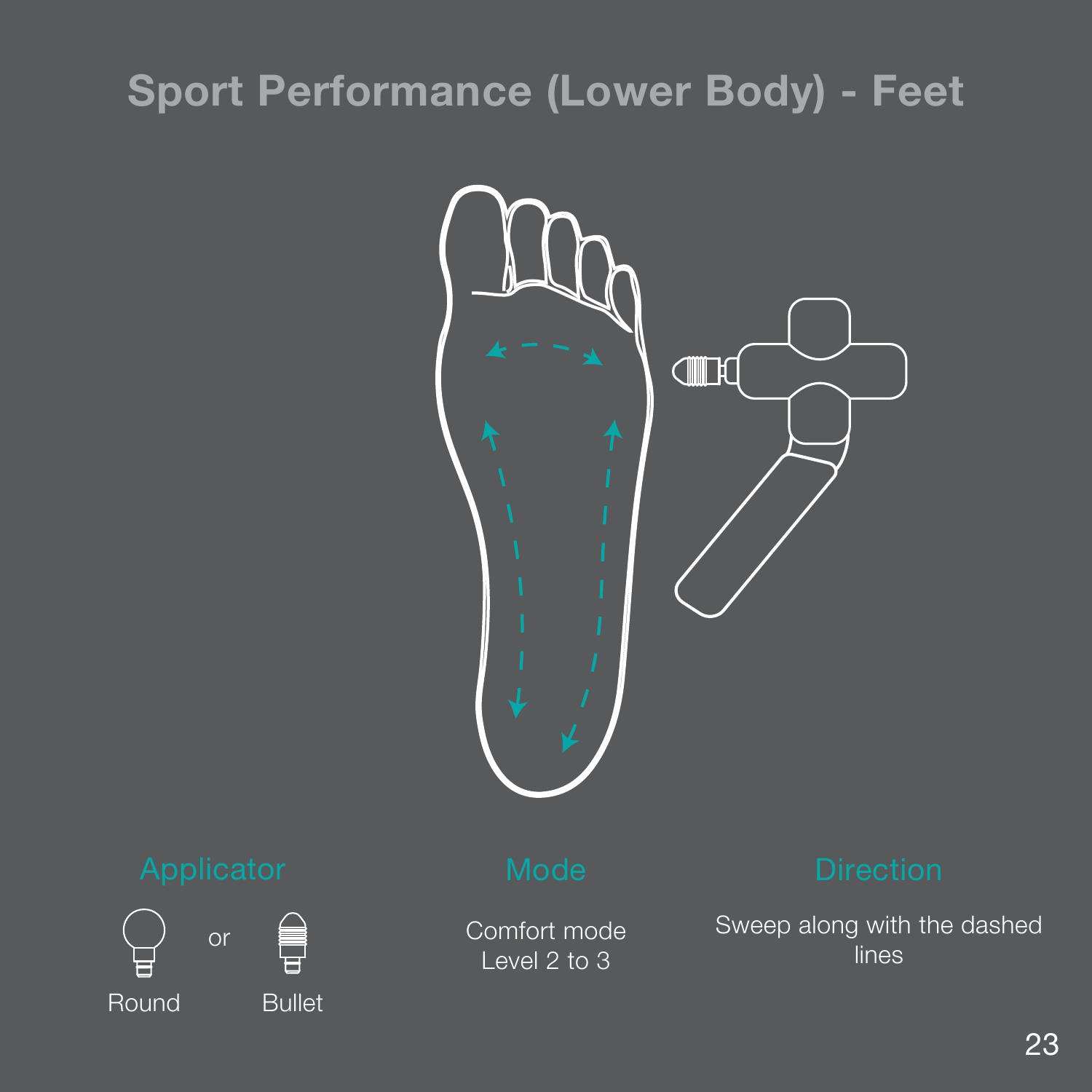### **Sport Performance (Lower Body) - Feet**





Comfort mode Level 2 to 3

Sweep along with the dashed lines